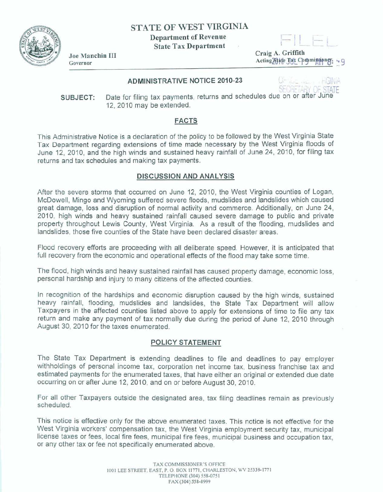**STATE OF WEST VIRGINIA** 

**Department of Revenue State Tax Department** .

Craig A. Griffith Acting Blafe Tax Commissioner.

# **ADMINISTRATIVE NOTICE 2010-23**

SECricA"i OF STATE **SUBJECT:** Date for filing tax payments, returns and schedules due on or after June **<sup>7</sup>2,20** 1 **0 rn ay** be **extended.** 

# **FACTS**

This **Administratwe Notice is a declaration of** the policy to be followed **by** the West Virginia State Tax Department **regarding extensions of time** made **necessary** by the **West** Virginia floods of June 12, 2010, and **the high winds** and sustained heavy rainfall of June 24, **2010,** for **filing tax**  returns and tax schedules **and making** tax payments.

# **DISCUSSION AND ANALYSIS**

**After** the **severe storms** that occurred on June 12, 2010, the West Virginia counties of Logan, McDowell, **Mingo** and Wyoming **suffered** severe floods, mudslides and landslides which caused great damage, loss and disruption of normal activity and **commerce. Additionally,** on June **24, 201 0,** high winds and heavy sustained rainfall caused severe **damage** to **public** and private property throughout Lewis County, **West** Virginia. As a result **of** the flooding, **mudslides** and **landslides,** those five **counties** of the State have been declared disaster areas.

Flood recovery efforts are proceeding with all deliberate **speed. However,** it is anticipated **that**  full recovery **from** the economic **and** operational **effects of the flood may take some** time.

**The ffood, high winds** and heavy sustained rainfall has caused property **damage,** economic loss, personal hardship and **injury** to many **citizens** of the **affected** counties.

In recognition of the hardships **and** economic disruption **mused by** the high winds, sustained heavy rainfall, flooding, mudslides and landslides, the State Tax Department will allow Taxpayers in the affected counties listed **above** to apply for extensions of time to file any tax return and make any payment of tax normally due during the period of June 12, 2010 through August 30, 2010 for the taxes enumerated.

# **POLICY STATEMENT**

**The State** Tax **Department is extending** deadlines to file and deadlines to pay employer withholdings of personal **income** tax, corporation net income tax, **business** franchise tax and estimated payments **for the** enumerated taxes, that have either en original or extended due date occurring on or after June 12,201 0, and **on** or before **August 30,201 0.** 

For all other Taxpayers outside the designated area, tax filing deadlines remain as previously **scheduled.** 

**This notice is effective** only **for** the **above** enumerated **taxes. This** notice **is** not effective for the West **Virginia** workers' compensation tax, the West Virginia employment security tax, municipal license taxes OF **fees,** local fire fees, municipal fire fees, municipal business and occupation **tax,**  or any other tax or **fee** not specifically enumerated above.



**Joe Manchin III**<br>Governor **Governor Contained by Containing the Containing of the Containing of the Containing of the Containing of the Containing of the Containing of the Containing of the Containing of the Containing of the Containing of the Co**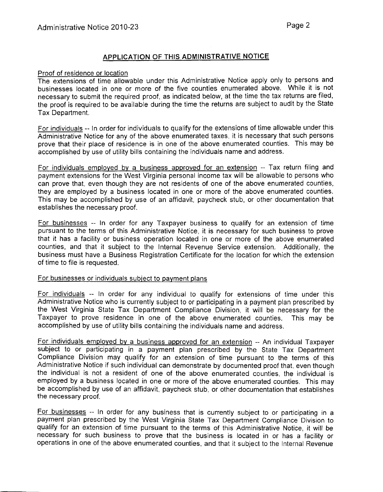# APPLICATION OF THIS ADMINISTRATIVE NOTICE

#### Proof of residence or location

The extensions of time allowable under this Administrative Notice apply only to persons and businesses located in one or more of the five counties enumerated above. While it is not necessary to submit the required proof, as indicated below, at the time the tax returns are filed, the proof is required to be available during the time the returns are subject to audit by the State Tax Department.

For individuals -- In order for individuals to qualify for the extensions of time allowable under this Administrative Notice for any of the above enumerated taxes, it is necessary that such persons prove that their place of residence is in one of the above enumerated counties. This may be accomplished by use of utility bills containing the individuals name and address.

For individuals employed by a business approved for an extension -- Tax return filing and payment extensions for the West Virginia personal income tax will be allowable to persons who can prove that, even though they are not residents of one of the above enumerated counties, they are employed by a business located in one or more of the above enumerated counties. This may be accomplished by use of an affidavit, paycheck stub, or other documentation that establishes the necessary proof.

For businesses -- In order for any Taxpayer business to qualify for an extension of time pursuant to the terms of this Administrative Notice, it is necessary for such business to prove that it has a facility or business operation located in one or more of the above enumerated counties, and that it subject to the Internal Revenue Service extension. Additionally, the business must have a Business Registration Certificate for the location for which the extension of time to file is requested.

#### For businesses or individuals subiect to payment plans

For individuals -- In order for any individual to qualify for extensions of time under this Administrative Notice who is currently subject to or participating in a payment plan prescribed by the West Virginia State Tax Department Compliance Division, it will be necessary for the Taxpayer to prove residence in one of the above enumerated counties. This may be accomplished by use of utility bills containing the individuals name and address.

For individuals employed by a business approved for an extension -- An individual Taxpayer subject to or participating in a payment plan prescribed by the State Tax Department Compliance Division may qualify for an extension of time pursuant to the terms of this Administrative Notice if such individual can demonstrate by documented proof that, even though the individual is not a resident of one of the above enumerated counties, the individual is employed by a business located in one or more of the above enumerated counties. This may be accomplished by use of an affidavit, paycheck stub, or other documentation that establishes the necessary proof.

For businesses -- In order for any business that is currently subject to or participating in a payment plan prescribed by the West Virginia State Tax Department Compliance Division to qualify for an extension of time pursuant to the terms of this Administrative Notice, it will be necessary for such business to prove that the business is located in or has a facility or operations in one of the above enumerated counties, and that it subject to the Internal Revenue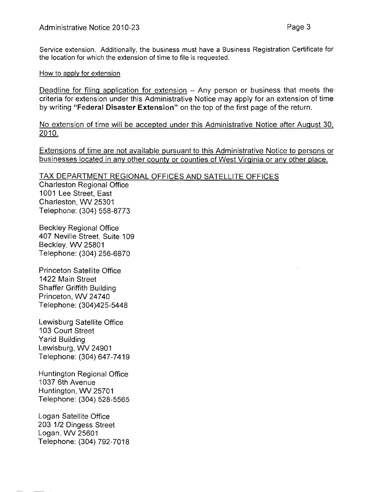Service extension. Additionally, the business must have a Business Registration Certificate for the location for which the extension of time to file is requested.

## How to apply for extension

Deadline for filinq application for extension -- Any person or business that meets the criteria for extension under this Administrative Notice may apply for an extension of time by writing **"Federal Disaster Extension"** on the top of the first page of the return.

No extension of time will be accepted under this Administrative Notice after August 30, 2010.

Extensions of time are not available pursuant to this Administrative Notice to persons or businesses located in any other county or counties of West Virginia or any other place.

# TAX DEPARTMENT REGIONAL OFFICES AND SATELLITE OFFICES

Charleston Regional Office 1001 Lee Street, East Charleston, WV 25301 Telephone: (304) 558-8773

Beckley Regional Office 407 Neville Street, Suite 109 Beckley, WV 25801 Telephone: (304) 256-6870

Princeton Satellite Office 1422 Main Street Shaffer Griffith Building Princeton, VW 24740 Telephone: (304)425-5448

Lewisburg Satellite Office 103 Court Street Yarid Building Lewisburg, WV 24901 Telephone: (304) 647-741 9

Huntington Regional Office 1037 6th Avenue Huntington, WV 25701 Telephone: (304) 528-5565

Logan Satellite Office 203 112 Dingess Street Logan, WV 25601 Telephone: (304) 792-701 8